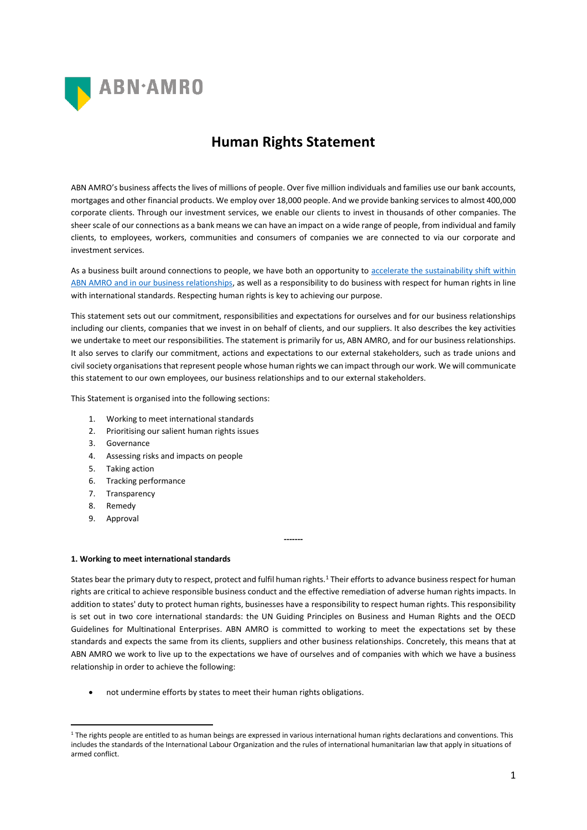

# **Human Rights Statement**

ABN AMRO's business affects the lives of millions of people. Over five million individuals and families use our bank accounts, mortgages and other financial products. We employ over 18,000 people. And we provide banking services to almost 400,000 corporate clients. Through our investment services, we enable our clients to invest in thousands of other companies. The sheer scale of our connections as a bank means we can have an impact on a wide range of people, from individual and family clients, to employees, workers, communities and consumers of companies we are connected to via our corporate and investment services.

As a business built around connections to people, we have both an opportunity to [accelerate the sustainability shift](https://www.abnamro.com/en/about-abnamro/profile/who-we-are/purpose-and-strategy/index.html) within [ABN AMRO and in our business relationships,](https://www.abnamro.com/en/about-abnamro/profile/who-we-are/purpose-and-strategy/index.html) as well as a responsibility to do business with respect for human rights in line with international standards. Respecting human rights is key to achieving our purpose.

This statement sets out our commitment, responsibilities and expectations for ourselves and for our business relationships including our clients, companies that we invest in on behalf of clients, and our suppliers. It also describes the key activities we undertake to meet our responsibilities. The statement is primarily for us, ABN AMRO, and for our business relationships. It also serves to clarify our commitment, actions and expectations to our external stakeholders, such as trade unions and civil society organisations that represent people whose human rights we can impact through our work. We will communicate this statement to our own employees, our business relationships and to our external stakeholders.

This Statement is organised into the following sections:

- 1. Working to meet international standards
- 2. Prioritising our salient human rights issues
- 3. Governance
- 4. Assessing risks and impacts on people
- 5. Taking action
- 6. Tracking performance
- 7. Transparency
- 8. Remedy
- 9. Approval

# **1. Working to meet international standards**

States bear the primary duty to respect, protect and fulfil human rights.<sup>1</sup> Their efforts to advance business respect for human rights are critical to achieve responsible business conduct and the effective remediation of adverse human rights impacts. In addition to states' duty to protect human rights, businesses have a responsibility to respect human rights. This responsibility is set out in two core international standards: the UN Guiding Principles on Business and Human Rights and the OECD Guidelines for Multinational Enterprises. ABN AMRO is committed to working to meet the expectations set by these standards and expects the same from its clients, suppliers and other business relationships. Concretely, this means that at ABN AMRO we work to live up to the expectations we have of ourselves and of companies with which we have a business relationship in order to achieve the following:

**-------**

• not undermine efforts by states to meet their human rights obligations.

<sup>&</sup>lt;sup>1</sup> The rights people are entitled to as human beings are expressed in various international human rights declarations and conventions. This includes the standards of the International Labour Organization and the rules of international humanitarian law that apply in situations of armed conflict.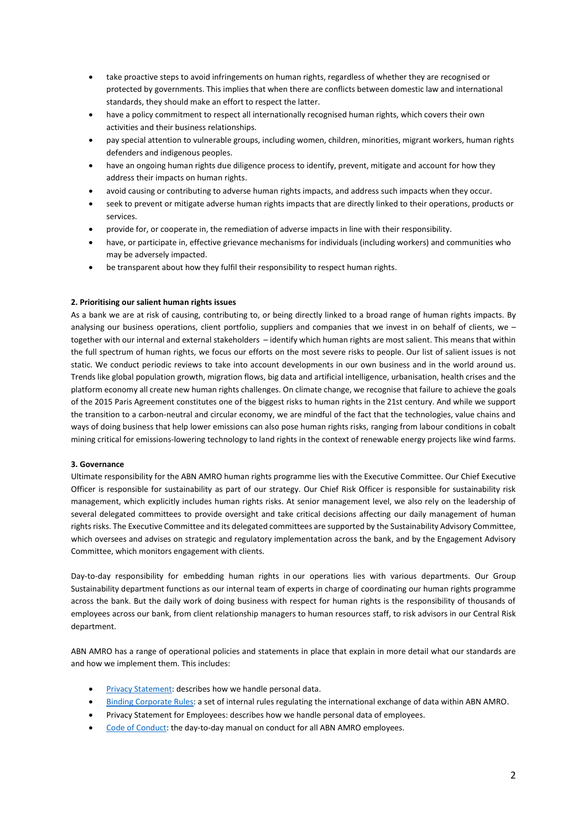- take proactive steps to avoid infringements on human rights, regardless of whether they are recognised or protected by governments. This implies that when there are conflicts between domestic law and international standards, they should make an effort to respect the latter.
- have a policy commitment to respect all internationally recognised human rights, which covers their own activities and their business relationships.
- pay special attention to vulnerable groups, including women, children, minorities, migrant workers, human rights defenders and indigenous peoples.
- have an ongoing human rights due diligence process to identify, prevent, mitigate and account for how they address their impacts on human rights.
- avoid causing or contributing to adverse human rights impacts, and address such impacts when they occur.
- seek to prevent or mitigate adverse human rights impacts that are directly linked to their operations, products or services.
- provide for, or cooperate in, the remediation of adverse impacts in line with their responsibility.
- have, or participate in, effective grievance mechanisms for individuals (including workers) and communities who may be adversely impacted.
- be transparent about how they fulfil their responsibility to respect human rights.

# **2. Prioritising our salient human rights issues**

As a bank we are at risk of causing, contributing to, or being directly linked to a broad range of human rights impacts. By analysing our business operations, client portfolio, suppliers and companies that we invest in on behalf of clients, we  $$ together with our internal and external stakeholders – identify which human rights are most salient. This means that within the full spectrum of human rights, we focus our efforts on the most severe risks to people. Our list of salient issues is not static. We conduct periodic reviews to take into account developments in our own business and in the world around us. Trends like global population growth, migration flows, big data and artificial intelligence, urbanisation, health crises and the platform economy all create new human rights challenges. On climate change, we recognise that failure to achieve the goals of the 2015 Paris Agreement constitutes one of the biggest risks to human rights in the 21st century. And while we support the transition to a carbon-neutral and circular economy, we are mindful of the fact that the technologies, value chains and ways of doing business that help lower emissions can also pose human rights risks, ranging from labour conditions in cobalt mining critical for emissions-lowering technology to land rights in the context of renewable energy projects like wind farms.

#### **3. Governance**

Ultimate responsibility for the ABN AMRO human rights programme lies with the Executive Committee. Our Chief Executive Officer is responsible for sustainability as part of our strategy. Our Chief Risk Officer is responsible for sustainability risk management, which explicitly includes human rights risks. At senior management level, we also rely on the leadership of several delegated committees to provide oversight and take critical decisions affecting our daily management of human rights risks. The Executive Committee and its delegated committees are supported by the Sustainability Advisory Committee, which oversees and advises on strategic and regulatory implementation across the bank, and by the Engagement Advisory Committee, which monitors engagement with clients.

Day-to-day responsibility for embedding human rights in our operations lies with various departments. Our Group Sustainability department functions as our internal team of experts in charge of coordinating our human rights programme across the bank. But the daily work of doing business with respect for human rights is the responsibility of thousands of employees across our bank, from client relationship managers to human resources staff, to risk advisors in our Central Risk department.

ABN AMRO has a range of operational policies and statements in place that explain in more detail what our standards are and how we implement them. This includes:

- [Privacy Statement:](https://www.abnamro.nl/en/personal/overabnamro/privacy/about-privacy-statement.html) describes how we handle personal data.
- [Binding Corporate Rules:](https://www.abnamro.nl/en/personal/overabnamro/privacy/binding-corporate-rules.html) a set of internal rules regulating the international exchange of data within ABN AMRO.
- Privacy Statement for Employees: describes how we handle personal data of employees.
- [Code of Conduct:](https://www.abnamro.com/en/images/Documents/010_About_ABN_AMRO/Compliance/ABN_AMRO_Code_of_Conduct.pdf) the day-to-day manual on conduct for all ABN AMRO employees.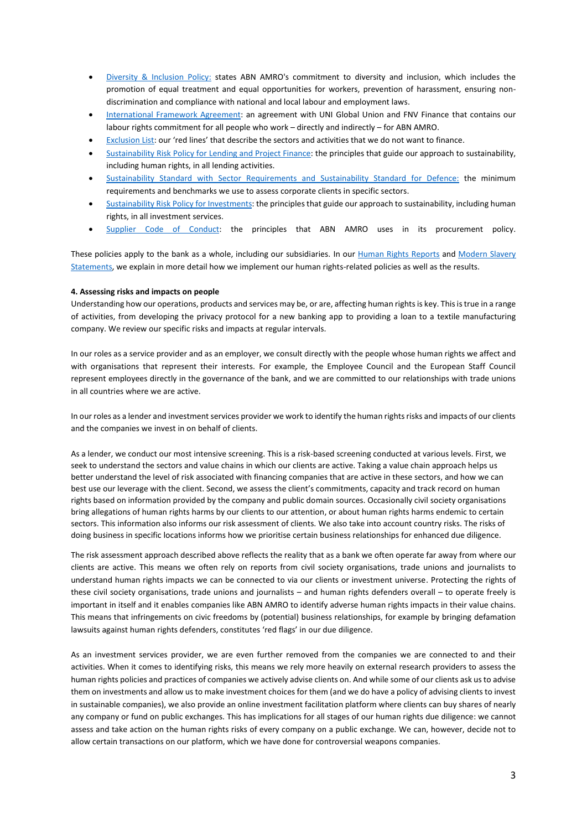- [Diversity & Inclusion Policy:](https://www.abnamro.com/en/images/Documents/010_About_ABN_AMRO/Corporate_Governance/ABN_AMRO_Diversity_and_Inclusion_Policy.pdf) states ABN AMRO's commitment to diversity and inclusion, which includes the promotion of equal treatment and equal opportunities for workers, prevention of harassment, ensuring nondiscrimination and compliance with national and local labour and employment laws.
- [International Framework Agreement:](https://www.abnamro.com/en/images/Documents/040_Sustainable_banking/Publications/Global_Framework_Agreement.pdf) an agreement with UNI Global Union and FNV Finance that contains our labour rights commitment for all people who work – directly and indirectly – for ABN AMRO.
- [Exclusion List](https://www.abnamro.com/en/images/Documents/040_Sustainable_banking/060_Strategy/ABN_AMRO_Exclusion_list.pdf): our 'red lines' that describe the sectors and activities that we do not want to finance.
- [Sustainability Risk Policy for Lending and Project Finance:](https://www.abnamro.com/en/images/010_About_ABN_AMRO/030_In_society/010_Sustainability/Links_en_documenten/Documenten/Beleid_-_Sustainability_Risk_Policy_for_Lending_EN.pdf) the principles that guide our approach to sustainability, including human rights, in all lending activities.
- [Sustainability Standard with Sector Requirements and](https://www.abnamro.com/en/about-abnamro/in-society/sustainability/policy/sustainability-policy/sector-specific-policy/index.html) Sustainability Standard for Defence: the minimum requirements and benchmarks we use to assess corporate clients in specific sectors.
- [Sustainability Risk Policy for Investments:](https://www.abnamro.com/en/images/Documents/040_Sustainable_banking/070_Sustainability_policy/ABN_AMRO_Summary_investment_policy.pdf) the principles that guide our approach to sustainability, including human rights, in all investment services.
- [Supplier Code of Conduct:](https://www.abnamro.com/en/images/Documents/010_About_ABN_AMRO/Suppliers/Supplier_Code_of_Conduct.pdf) the principles that ABN AMRO uses in its procurement policy.

These policies apply to the bank as a whole, including our subsidiaries. In our [Human Rights Reports](https://www.abnamro.com/en/about-abnamro/in-society/sustainability/social-impact/human-rights/human-rights-report/index.html) and Modern Slavery [Statements,](https://www.abnamro.com/nl/images/Documents/040_Duurzaamheid/Publications/ABN_AMRO_Modern_Slavery_Statement_2018.pdf) we explain in more detail how we implement our human rights-related policies as well as the results.

## **4. Assessing risks and impacts on people**

Understanding how our operations, products and services may be, or are, affecting human rights is key. This is true in a range of activities, from developing the privacy protocol for a new banking app to providing a loan to a textile manufacturing company. We review our specific risks and impacts at regular intervals.

In our roles as a service provider and as an employer, we consult directly with the people whose human rights we affect and with organisations that represent their interests. For example, the Employee Council and the European Staff Council represent employees directly in the governance of the bank, and we are committed to our relationships with trade unions in all countries where we are active.

In our roles as a lender and investment services provider we work to identify the human rights risks and impacts of our clients and the companies we invest in on behalf of clients.

As a lender, we conduct our most intensive screening. This is a risk-based screening conducted at various levels. First, we seek to understand the sectors and value chains in which our clients are active. Taking a value chain approach helps us better understand the level of risk associated with financing companies that are active in these sectors, and how we can best use our leverage with the client. Second, we assess the client's commitments, capacity and track record on human rights based on information provided by the company and public domain sources. Occasionally civil society organisations bring allegations of human rights harms by our clients to our attention, or about human rights harms endemic to certain sectors. This information also informs our risk assessment of clients. We also take into account country risks. The risks of doing business in specific locations informs how we prioritise certain business relationships for enhanced due diligence.

The risk assessment approach described above reflects the reality that as a bank we often operate far away from where our clients are active. This means we often rely on reports from civil society organisations, trade unions and journalists to understand human rights impacts we can be connected to via our clients or investment universe. Protecting the rights of these civil society organisations, trade unions and journalists – and human rights defenders overall – to operate freely is important in itself and it enables companies like ABN AMRO to identify adverse human rights impacts in their value chains. This means that infringements on civic freedoms by (potential) business relationships, for example by bringing defamation lawsuits against human rights defenders, constitutes 'red flags' in our due diligence.

As an investment services provider, we are even further removed from the companies we are connected to and their activities. When it comes to identifying risks, this means we rely more heavily on external research providers to assess the human rights policies and practices of companies we actively advise clients on. And while some of our clients ask us to advise them on investments and allow us to make investment choices for them (and we do have a policy of advising clients to invest in sustainable companies), we also provide an online investment facilitation platform where clients can buy shares of nearly any company or fund on public exchanges. This has implications for all stages of our human rights due diligence: we cannot assess and take action on the human rights risks of every company on a public exchange. We can, however, decide not to allow certain transactions on our platform, which we have done for controversial weapons companies.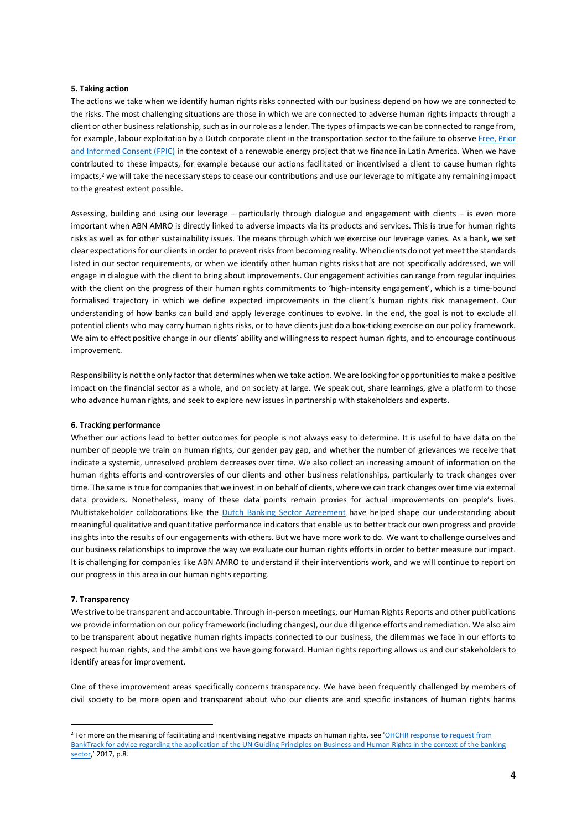#### **5. Taking action**

The actions we take when we identify human rights risks connected with our business depend on how we are connected to the risks. The most challenging situations are those in which we are connected to adverse human rights impacts through a client or other business relationship, such asin our role as a lender. The types of impacts we can be connected to range from, for example, labour exploitation by a Dutch corporate client in the transportation sector to the failure to observ[e Free,](https://www.ohchr.org/Documents/Issues/IPeoples/FreePriorandInformedConsent.pdf) Prior [and Informed Consent \(FPIC\)](https://www.ohchr.org/Documents/Issues/IPeoples/FreePriorandInformedConsent.pdf) in the context of a renewable energy project that we finance in Latin America. When we have contributed to these impacts, for example because our actions facilitated or incentivised a client to cause human rights impacts,<sup>2</sup> we will take the necessary steps to cease our contributions and use our leverage to mitigate any remaining impact to the greatest extent possible.

Assessing, building and using our leverage – particularly through dialogue and engagement with clients – is even more important when ABN AMRO is directly linked to adverse impacts via its products and services. This is true for human rights risks as well as for other sustainability issues. The means through which we exercise our leverage varies. As a bank, we set clear expectationsfor our clients in order to prevent risks from becoming reality. When clients do not yet meet the standards listed in our sector requirements, or when we identify other human rights risks that are not specifically addressed, we will engage in dialogue with the client to bring about improvements. Our engagement activities can range from regular inquiries with the client on the progress of their human rights commitments to 'high-intensity engagement', which is a time-bound formalised trajectory in which we define expected improvements in the client's human rights risk management. Our understanding of how banks can build and apply leverage continues to evolve. In the end, the goal is not to exclude all potential clients who may carry human rights risks, or to have clients just do a box-ticking exercise on our policy framework. We aim to effect positive change in our clients' ability and willingness to respect human rights, and to encourage continuous improvement.

Responsibility is not the only factor that determines when we take action. We are looking for opportunities to make a positive impact on the financial sector as a whole, and on society at large. We speak out, share learnings, give a platform to those who advance human rights, and seek to explore new issues in partnership with stakeholders and experts.

#### **6. Tracking performance**

Whether our actions lead to better outcomes for people is not always easy to determine. It is useful to have data on the number of people we train on human rights, our gender pay gap, and whether the number of grievances we receive that indicate a systemic, unresolved problem decreases over time. We also collect an increasing amount of information on the human rights efforts and controversies of our clients and other business relationships, particularly to track changes over time. The same is true for companies that we invest in on behalf of clients, where we can track changes over time via external data providers. Nonetheless, many of these data points remain proxies for actual improvements on people's lives. Multistakeholder collaborations like the [Dutch Banking Sector Agreement](https://www.imvoconvenanten.nl/en/banking) have helped shape our understanding about meaningful qualitative and quantitative performance indicators that enable us to better track our own progress and provide insights into the results of our engagements with others. But we have more work to do. We want to challenge ourselves and our business relationships to improve the way we evaluate our human rights efforts in order to better measure our impact. It is challenging for companies like ABN AMRO to understand if their interventions work, and we will continue to report on our progress in this area in our human rights reporting.

#### **7. Transparency**

We strive to be transparent and accountable. Through in-person meetings, our Human Rights Reports and other publications we provide information on our policy framework (including changes), our due diligence efforts and remediation. We also aim to be transparent about negative human rights impacts connected to our business, the dilemmas we face in our efforts to respect human rights, and the ambitions we have going forward. Human rights reporting allows us and our stakeholders to identify areas for improvement.

One of these improvement areas specifically concerns transparency. We have been frequently challenged by members of civil society to be more open and transparent about who our clients are and specific instances of human rights harms

<sup>&</sup>lt;sup>2</sup> For more on the meaning of facilitating and incentivising negative impacts on human rights, see 'OHCHR response to request from [BankTrack for advice regarding the application of the UN Guiding Principles on Business and Human Rights in the context of the banking](https://www.ohchr.org/Documents/Issues/Business/InterpretationGuidingPrinciples.pdf)  [sector](https://www.ohchr.org/Documents/Issues/Business/InterpretationGuidingPrinciples.pdf),' 2017, p.8.